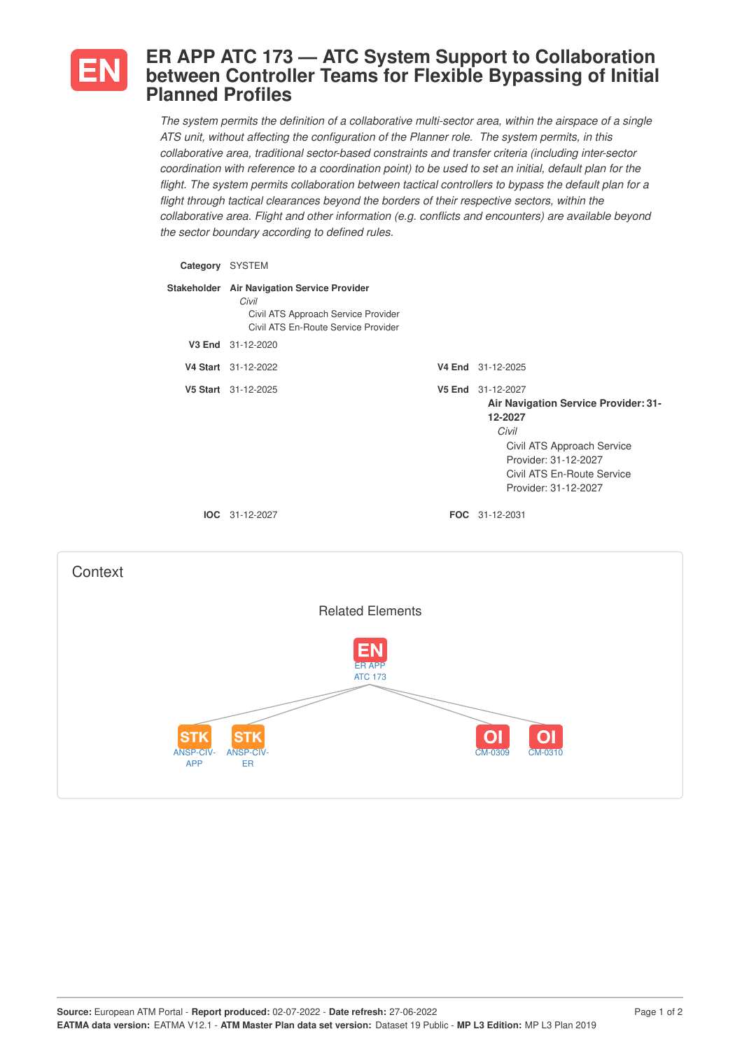

## **ER APP ATC 173 — ATC System Support to Collaboration between Controller Teams for Flexible Bypassing of Initial Planned Profiles**

*The system permits the definition of a collaborative multi-sector area, within the airspace of a single ATS unit, without affecting the configuration of the Planner role. The system permits, in this collaborative area, traditional sector-based constraints and transfer criteria (including inter-sector* coordination with reference to a coordination point) to be used to set an initial, default plan for the *flight. The system permits collaboration between tactical controllers to bypass the default plan for a flight through tactical clearances beyond the borders of their respective sectors, within the collaborative area. Flight and other information (e.g. conflicts and encounters) are available beyond the sector boundary according to defined rules.*

| Category | <b>SYSTEM</b>                                                                                                                      |                                                                                                                                                                                                  |
|----------|------------------------------------------------------------------------------------------------------------------------------------|--------------------------------------------------------------------------------------------------------------------------------------------------------------------------------------------------|
|          | Stakeholder Air Navigation Service Provider<br>Civil<br>Civil ATS Approach Service Provider<br>Civil ATS En-Route Service Provider |                                                                                                                                                                                                  |
| V3 End   | 31-12-2020                                                                                                                         |                                                                                                                                                                                                  |
|          | V4 Start 31-12-2022                                                                                                                | V4 End 31-12-2025                                                                                                                                                                                |
|          | V5 Start 31-12-2025                                                                                                                | V5 End 31-12-2027<br><b>Air Navigation Service Provider: 31-</b><br>12-2027<br>Civil<br>Civil ATS Approach Service<br>Provider: 31-12-2027<br>Civil ATS En-Route Service<br>Provider: 31-12-2027 |
|          | $IOC 31-12-2027$                                                                                                                   | <b>FOC</b> 31-12-2031                                                                                                                                                                            |